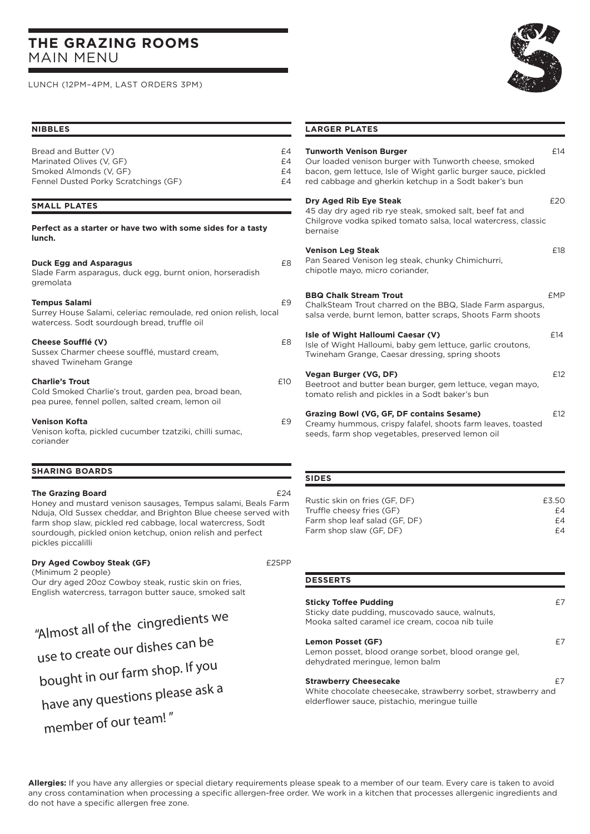# **THE GRAZING ROOMS**  MAIN MENU

LUNCH (12PM–4PM, LAST ORDERS 3PM)

## **NIBBLES**

| Bread and Butter (V)                 | £4 |
|--------------------------------------|----|
| Marinated Olives (V. GF)             | £4 |
| Smoked Almonds (V. GF)               | £4 |
| Fennel Dusted Porky Scratchings (GF) | £4 |
|                                      |    |

#### **SMALL PLATES**

| Perfect as a starter or have two with some sides for a tasty<br>lunch.                                                              |     |
|-------------------------------------------------------------------------------------------------------------------------------------|-----|
| <b>Duck Egg and Asparagus</b><br>Slade Farm asparagus, duck egg, burnt onion, horseradish<br>gremolata                              | £8  |
| Tempus Salami<br>Surrey House Salami, celeriac remoulade, red onion relish, local<br>watercess. Sodt sourdough bread, truffle oil   | £9  |
| Cheese Soufflé (V)<br>Sussex Charmer cheese soufflé, mustard cream,<br>shaved Twineham Grange                                       | £8  |
| <b>Charlie's Trout</b><br>Cold Smoked Charlie's trout, garden pea, broad bean,<br>pea puree, fennel pollen, salted cream, lemon oil | £10 |
| Venison Kofta<br>Venison kofta, pickled cucumber tzatziki, chilli sumac,<br>coriander                                               | £9  |

# **SHARING BOARDS**

#### **The Grazing Board** <br> $£24$

Honey and mustard venison sausages, Tempus salami, Beals Farm Nduja, Old Sussex cheddar, and Brighton Blue cheese served with farm shop slaw, pickled red cabbage, local watercress, Sodt sourdough, pickled onion ketchup, onion relish and perfect pickles piccalilli

#### **Dry Aged Cowboy Steak (GF) E25PP**

(Minimum 2 people) Our dry aged 20oz Cowboy steak, rustic skin on fries, English watercress, tarragon butter sauce, smoked salt

"Almost all of the cingredients we use to create our dishes can be bought in our farm shop. If you have any questions please ask a member of our team! "



#### **LARGER PLATES**

| <b>Tunworth Venison Burger</b><br>Our loaded venison burger with Tunworth cheese, smoked<br>bacon, gem lettuce, Isle of Wight garlic burger sauce, pickled<br>red cabbage and gherkin ketchup in a Sodt baker's bun | £14        |
|---------------------------------------------------------------------------------------------------------------------------------------------------------------------------------------------------------------------|------------|
| Dry Aged Rib Eye Steak<br>45 day dry aged rib rye steak, smoked salt, beef fat and<br>Chilgrove vodka spiked tomato salsa, local watercress, classic<br>bernaise                                                    | E20        |
| <b>Venison Leg Steak</b><br>Pan Seared Venison leg steak, chunky Chimichurri,<br>chipotle mayo, micro coriander,                                                                                                    | £18        |
| <b>BBQ Chalk Stream Trout</b><br>ChalkSteam Trout charred on the BBQ, Slade Farm aspargus,<br>salsa verde, burnt lemon, batter scraps, Shoots Farm shoots                                                           | <b>FMP</b> |
| Isle of Wight Halloumi Caesar (V)<br>Isle of Wight Halloumi, baby gem lettuce, garlic croutons,<br>Twineham Grange, Caesar dressing, spring shoots                                                                  | £14        |
| Vegan Burger (VG, DF)<br>Beetroot and butter bean burger, gem lettuce, vegan mayo,<br>tomato relish and pickles in a Sodt baker's bun                                                                               | £12        |
| Grazing Bowl (VG, GF, DF contains Sesame)<br>Creamy hummous, crispy falafel, shoots farm leaves, toasted<br>seeds, farm shop vegetables, preserved lemon oil                                                        | f12        |

#### **SIDES**

**DESSERTS**

| £3.50 |
|-------|
| £4    |
| £4    |
| £4    |
|       |

| <b>DESSERTS</b>                                                                                                                   |    |
|-----------------------------------------------------------------------------------------------------------------------------------|----|
| <b>Sticky Toffee Pudding</b><br>Sticky date pudding, muscovado sauce, walnuts,<br>Mooka salted caramel ice cream, cocoa nib tuile | £7 |
| Lemon Posset (GF)<br>Lemon posset, blood orange sorbet, blood orange gel,<br>dehydrated meringue, lemon balm                      | f7 |

#### **Strawberry Cheesecake E7**

White chocolate cheesecake, strawberry sorbet, strawberry and elderflower sauce, pistachio, meringue tuille

**Allergies:** If you have any allergies or special dietary requirements please speak to a member of our team. Every care is taken to avoid any cross contamination when processing a specific allergen-free order. We work in a kitchen that processes allergenic ingredients and do not have a specific allergen free zone.